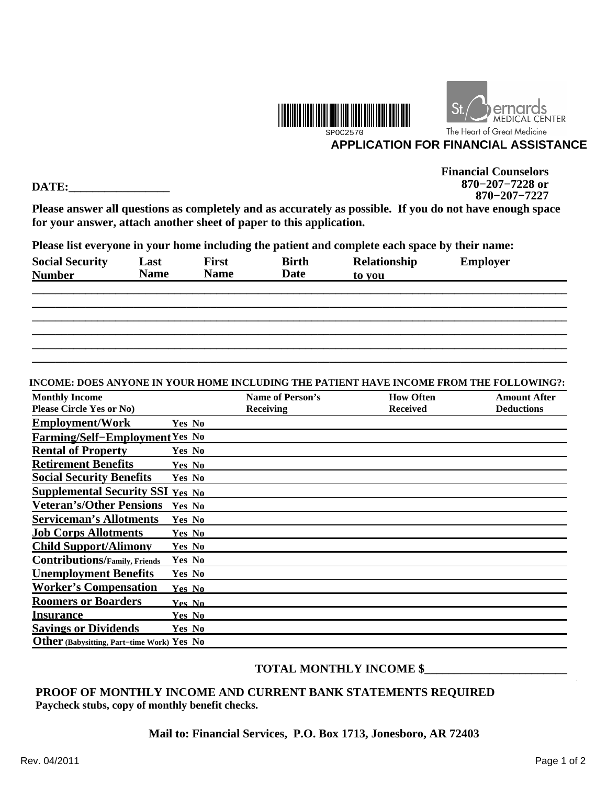



## **APPLICATION FOR FINANCIAL ASSISTANCE**

**DATE:\_\_\_\_\_\_\_\_\_\_\_\_\_\_\_\_\_**

**Financial Counselors 870−207−7228 or 870−207−7227**

**Please answer all questions as completely and as accurately as possible. If you do not have enough space for your answer, attach another sheet of paper to this application.**

| Please list everyone in your home including the patient and complete each space by their name: |                     |                      |                      |                               |                 |  |  |  |  |
|------------------------------------------------------------------------------------------------|---------------------|----------------------|----------------------|-------------------------------|-----------------|--|--|--|--|
| <b>Social Security</b><br><b>Number</b>                                                        | Last<br><b>Name</b> | First<br><b>Name</b> | Birth<br><b>Date</b> | <b>Relationship</b><br>to you | <b>Employer</b> |  |  |  |  |
|                                                                                                |                     |                      |                      |                               |                 |  |  |  |  |

**\_\_\_\_\_\_\_\_\_\_\_\_\_\_\_\_\_\_\_\_\_\_\_\_\_\_\_\_\_\_\_\_\_\_\_\_\_\_\_\_\_\_\_\_\_\_\_\_\_\_\_\_\_\_\_\_\_\_\_\_\_\_\_\_\_\_\_\_\_\_\_\_\_\_\_\_\_\_\_\_\_\_\_\_\_\_\_\_\_\_ \_\_\_\_\_\_\_\_\_\_\_\_\_\_\_\_\_\_\_\_\_\_\_\_\_\_\_\_\_\_\_\_\_\_\_\_\_\_\_\_\_\_\_\_\_\_\_\_\_\_\_\_\_\_\_\_\_\_\_\_\_\_\_\_\_\_\_\_\_\_\_\_\_\_\_\_\_\_\_\_\_\_\_\_\_\_\_\_\_\_ \_\_\_\_\_\_\_\_\_\_\_\_\_\_\_\_\_\_\_\_\_\_\_\_\_\_\_\_\_\_\_\_\_\_\_\_\_\_\_\_\_\_\_\_\_\_\_\_\_\_\_\_\_\_\_\_\_\_\_\_\_\_\_\_\_\_\_\_\_\_\_\_\_\_\_\_\_\_\_\_\_\_\_\_\_\_\_\_\_\_ \_\_\_\_\_\_\_\_\_\_\_\_\_\_\_\_\_\_\_\_\_\_\_\_\_\_\_\_\_\_\_\_\_\_\_\_\_\_\_\_\_\_\_\_\_\_\_\_\_\_\_\_\_\_\_\_\_\_\_\_\_\_\_\_\_\_\_\_\_\_\_\_\_\_\_\_\_\_\_\_\_\_\_\_\_\_\_\_\_\_**

#### **INCOME: DOES ANYONE IN YOUR HOME INCLUDING THE PATIENT HAVE INCOME FROM THE FOLLOWING?:**

| <b>Monthly Income</b>                             |               | Name of Person's | <b>How Often</b> | <b>Amount After</b> |
|---------------------------------------------------|---------------|------------------|------------------|---------------------|
| <b>Please Circle Yes or No)</b>                   |               | <b>Receiving</b> | <b>Received</b>  | <b>Deductions</b>   |
| <b>Employment/Work</b>                            | Yes No        |                  |                  |                     |
| <b>Farming/Self-Employment Yes No</b>             |               |                  |                  |                     |
| <b>Rental of Property</b>                         | Yes No        |                  |                  |                     |
| <b>Retirement Benefits</b>                        | Yes No        |                  |                  |                     |
| <b>Social Security Benefits</b>                   | Yes No        |                  |                  |                     |
| <b>Supplemental Security SSI Yes No</b>           |               |                  |                  |                     |
| <b>Veteran's/Other Pensions</b>                   | Yes No        |                  |                  |                     |
| <b>Serviceman's Allotments</b>                    | Yes No        |                  |                  |                     |
| <b>Job Corps Allotments</b>                       | Yes No        |                  |                  |                     |
| <b>Child Support/Alimony</b>                      | Yes No        |                  |                  |                     |
| <b>Contributions/Family, Friends</b>              | Yes No        |                  |                  |                     |
| <b>Unemployment Benefits</b>                      | Yes No        |                  |                  |                     |
| <b>Worker's Compensation</b>                      | Yes No        |                  |                  |                     |
| <b>Roomers or Boarders</b>                        | Yes No        |                  |                  |                     |
| <u>Insurance</u>                                  | <b>Yes No</b> |                  |                  |                     |
| <b>Savings or Dividends</b>                       | Yes No        |                  |                  |                     |
| <b>Other</b> (Babysitting, Part-time Work) Yes No |               |                  |                  |                     |

#### **TOTAL MONTHLY INCOME \$\_\_\_\_\_\_\_\_\_\_\_\_\_\_\_\_\_\_\_\_\_\_\_\_**

## **PROOF OF MONTHLY INCOME AND CURRENT BANK STATEMENTS REQUIRED Paycheck stubs, copy of monthly benefit checks.**

## **Mail to: Financial Services, P.O. Box 1713, Jonesboro, AR 72403**